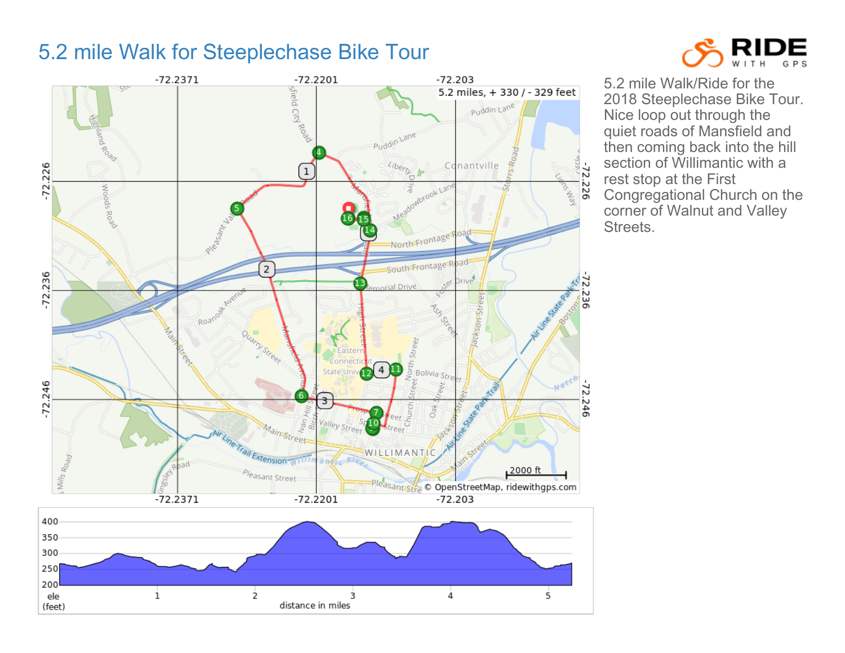## 5.2 mile Walk for Steeplechase Bike Tour





5.2 mile Walk/Ride for the 2018 Steeplechase Bike Tour. Nice loop out through the quiet roads of Mansfield and then coming back into the hill section of Willimantic with a rest stop at the First Congregational Church on the corner of Walnut and Valley Streets.